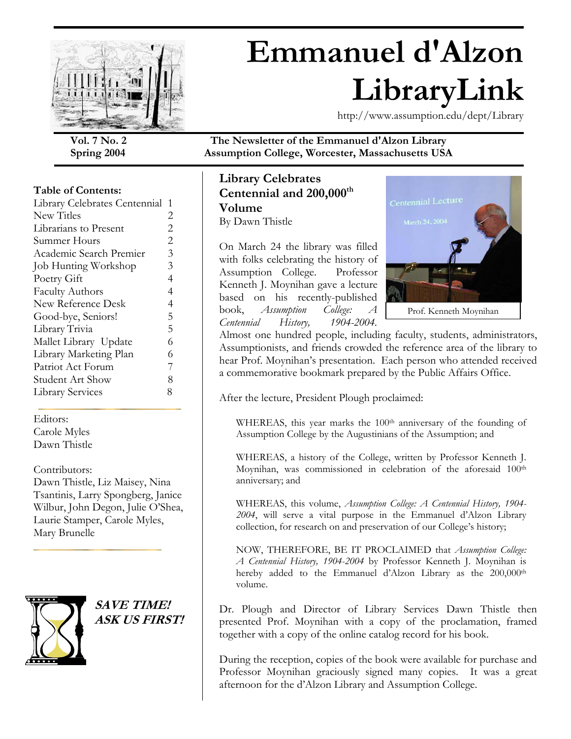

# **Emmanuel d'Alzon LibraryLink**

http://www.assumption.edu/dept/Library

#### **Table of Contents:**

| Library Celebrates Centennial | 1              |
|-------------------------------|----------------|
| New Titles                    | 2              |
| Librarians to Present         | $\overline{2}$ |
| Summer Hours                  | $\overline{2}$ |
| Academic Search Premier       | 3              |
| Job Hunting Workshop          | 3              |
| Poetry Gift                   | 4              |
| <b>Faculty Authors</b>        | 4              |
| New Reference Desk            | $\overline{4}$ |
| Good-bye, Seniors!            | 5              |
| Library Trivia                | 5              |
| Mallet Library Update         | 6              |
| Library Marketing Plan        | 6              |
| Patriot Act Forum             | 7              |
| Student Art Show              | 8              |
| <b>Library Services</b>       | 8              |
|                               |                |

Editors: Carole Myles Dawn Thistle

#### Contributors:

Dawn Thistle, Liz Maisey, Nina Tsantinis, Larry Spongberg, Janice Wilbur, John Degon, Julie O'Shea, Laurie Stamper, Carole Myles, Mary Brunelle



**SAVE TIME! ASK US FIRST!** 

**Vol. 7 No. 2 The Newsletter of the Emmanuel d'Alzon Library Spring 2004 Assumption College, Worcester, Massachusetts USA** 

#### **Library Celebrates Centennial and 200,000th Volume**  By Dawn Thistle

On March 24 the library was filled with folks celebrating the history of Assumption College. Professor Kenneth J. Moynihan gave a lecture based on his recently-published book, *Assumption College: A Centennial History, 1904-2004.* 



Almost one hundred people, including faculty, students, administrators, Assumptionists, and friends crowded the reference area of the library to hear Prof. Moynihan's presentation. Each person who attended received a commemorative bookmark prepared by the Public Affairs Office.

After the lecture, President Plough proclaimed:

WHEREAS, this year marks the 100<sup>th</sup> anniversary of the founding of Assumption College by the Augustinians of the Assumption; and

WHEREAS, a history of the College, written by Professor Kenneth J. Moynihan, was commissioned in celebration of the aforesaid 100<sup>th</sup> anniversary; and

WHEREAS, this volume, *Assumption College: A Centennial History, 1904- 2004*, will serve a vital purpose in the Emmanuel d'Alzon Library collection, for research on and preservation of our College's history;

NOW, THEREFORE, BE IT PROCLAIMED that *Assumption College: A Centennial History, 1904-2004* by Professor Kenneth J. Moynihan is hereby added to the Emmanuel d'Alzon Library as the 200,000<sup>th</sup> volume.

Dr. Plough and Director of Library Services Dawn Thistle then presented Prof. Moynihan with a copy of the proclamation, framed together with a copy of the online catalog record for his book.

During the reception, copies of the book were available for purchase and Professor Moynihan graciously signed many copies. It was a great afternoon for the d'Alzon Library and Assumption College.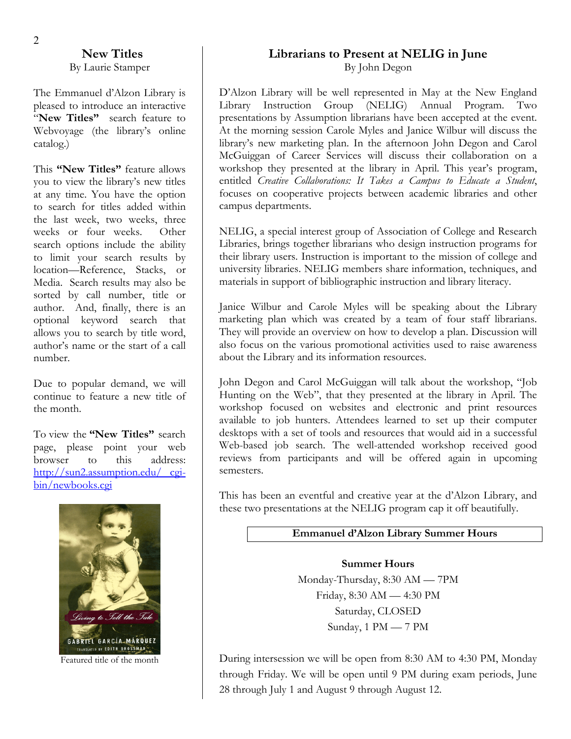#### **New Titles**  By Laurie Stamper

The Emmanuel d'Alzon Library is pleased to introduce an interactive "**New Titles"** search feature to Webvoyage (the library's online catalog.)

This **"New Titles"** feature allows you to view the library's new titles at any time. You have the option to search for titles added within the last week, two weeks, three weeks or four weeks. Other search options include the ability to limit your search results by location—Reference, Stacks, or Media. Search results may also be sorted by call number, title or author. And, finally, there is an optional keyword search that allows you to search by title word, author's name or the start of a call number.

Due to popular demand, we will continue to feature a new title of the month.

To view the **"New Titles"** search page, please point your web browser to this address: [http://sun2.assumption.edu/ cgi](http://sun2.assumption.edu/cgi-bin/newbooks.cgi)[bin/newbooks.cgi](http://sun2.assumption.edu/cgi-bin/newbooks.cgi)



Featured title of the month

#### **Librarians to Present at NELIG in June**  By John Degon

D'Alzon Library will be well represented in May at the New England Library Instruction Group (NELIG) Annual Program. Two presentations by Assumption librarians have been accepted at the event. At the morning session Carole Myles and Janice Wilbur will discuss the library's new marketing plan. In the afternoon John Degon and Carol McGuiggan of Career Services will discuss their collaboration on a workshop they presented at the library in April. This year's program, entitled *Creative Collaborations: It Takes a Campus to Educate a Student*, focuses on cooperative projects between academic libraries and other campus departments.

NELIG, a special interest group of Association of College and Research Libraries, brings together librarians who design instruction programs for their library users. Instruction is important to the mission of college and university libraries. NELIG members share information, techniques, and materials in support of bibliographic instruction and library literacy.

Janice Wilbur and Carole Myles will be speaking about the Library marketing plan which was created by a team of four staff librarians. They will provide an overview on how to develop a plan. Discussion will also focus on the various promotional activities used to raise awareness about the Library and its information resources.

John Degon and Carol McGuiggan will talk about the workshop, "Job Hunting on the Web", that they presented at the library in April. The workshop focused on websites and electronic and print resources available to job hunters. Attendees learned to set up their computer desktops with a set of tools and resources that would aid in a successful Web-based job search. The well-attended workshop received good reviews from participants and will be offered again in upcoming semesters.

This has been an eventful and creative year at the d'Alzon Library, and these two presentations at the NELIG program cap it off beautifully.

#### **Emmanuel d'Alzon Library Summer Hours**

#### **Summer Hours**  Monday-Thursday, 8:30 AM — 7PM Friday, 8:30 AM — 4:30 PM Saturday, CLOSED Sunday, 1 PM — 7 PM

During intersession we will be open from 8:30 AM to 4:30 PM, Monday through Friday. We will be open until 9 PM during exam periods, June 28 through July 1 and August 9 through August 12.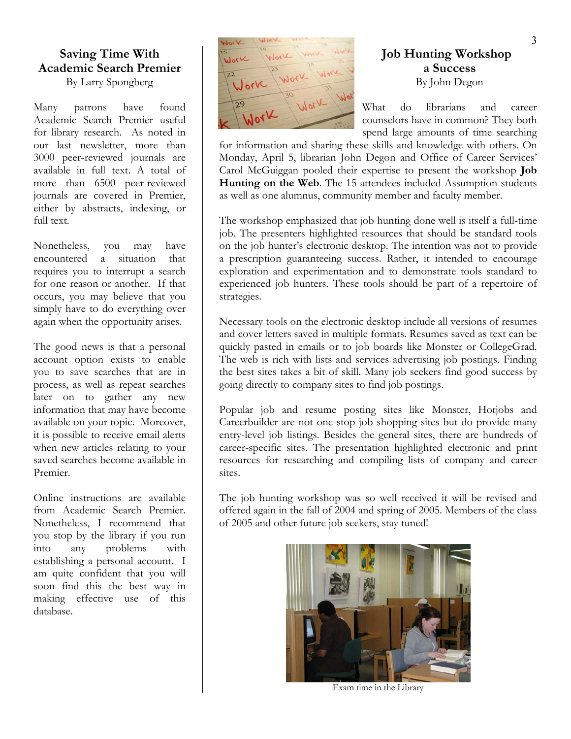## **Saving Time With Academic Search Premier**

Many patrons have found Academic Search Premier useful for library research. As noted in our last newsletter, more than 3000 peer-reviewed journals are available in full text. A total of more than 6500 peer-reviewed journals are covered in Premier, either by abstracts, indexing, or full text.

Nonetheless, you may have encountered a situation that requires you to interrupt a search for one reason or another. If that occurs, you may believe that you simply have to do everything over again when the opportunity arises.

The good news is that a personal account option exists to enable you to save searches that are in process, as well as repeat searches later on to gather any new information that may have become available on your topic. Moreover, it is possible to receive email alerts when new articles relating to your saved searches become available in Premier.

Online instructions are available from Academic Search Premier. Nonetheless, I recommend that you stop by the library if you run into any problems with establishing a personal account. I am quite confident that you will soon find this the best way in making effective use of this database.



# **Job Hunting Workshop a Success**

What do librarians and career counselors have in common? They both spend large amounts of time searching

for information and sharing these skills and knowledge with others. On Monday, April 5, librarian John Degon and Office of Career Services' Carol McGuiggan pooled their expertise to present the workshop **Job Hunting on the Web**. The 15 attendees included Assumption students as well as one alumnus, community member and faculty member.

The workshop emphasized that job hunting done well is itself a full-time job. The presenters highlighted resources that should be standard tools on the job hunter's electronic desktop. The intention was not to provide a prescription guaranteeing success. Rather, it intended to encourage exploration and experimentation and to demonstrate tools standard to experienced job hunters. These tools should be part of a repertoire of strategies.

Necessary tools on the electronic desktop include all versions of resumes and cover letters saved in multiple formats. Resumes saved as text can be quickly pasted in emails or to job boards like Monster or CollegeGrad. The web is rich with lists and services advertising job postings. Finding the best sites takes a bit of skill. Many job seekers find good success by going directly to company sites to find job postings.

Popular job and resume posting sites like Monster, Hotjobs and Careerbuilder are not one-stop job shopping sites but do provide many entry-level job listings. Besides the general sites, there are hundreds of career-specific sites. The presentation highlighted electronic and print resources for researching and compiling lists of company and career sites.

The job hunting workshop was so well received it will be revised and offered again in the fall of 2004 and spring of 2005. Members of the class of 2005 and other future job seekers, stay tuned!



Exam time in the Library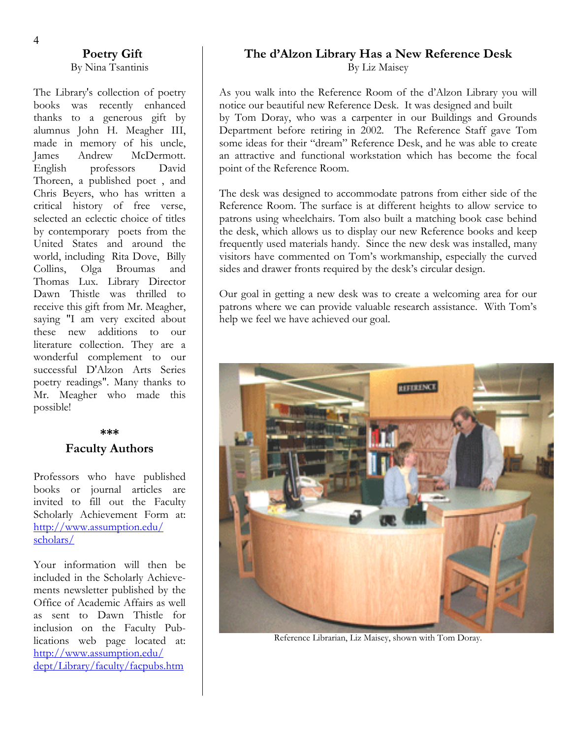# By Nina Tsantinis

The Library's collection of poetry thanks to a generous gift by alumnus John H. Meagher III, made in memory of his uncle, James Andrew McDermott. English professors David Thoreen, a published poet , and Chris Beyers, who has written a critical history of free verse, selected an eclectic choice of titles by contemporary poets from the United States and around the world, including Rita Dove, Billy Collins, Olga Broumas and Thomas Lux. Library Director Dawn Thistle was thrilled to receive this gift from Mr. Meagher, saying "I am very excited about these new additions to our literature collection. They are a wonderful complement to our successful D'Alzon Arts Series poetry readings". Many thanks to Mr. Meagher who made this possible!

#### **\*\*\***

#### **Faculty Authors**

Professors who have published books or journal articles are invited to fill out the Faculty Scholarly Achievement Form at: http://www.assumption.edu/ [scholars/](http://www.assumption.edu/scholars/)

Your information will then be included in the Scholarly Achievements newsletter published by the Office of Academic Affairs as well as sent to Dawn Thistle for inclusion on the Faculty Publications web page located at: http://www.assumption.edu/ [dept/Library/faculty/facp](http://www.assumption/)ubs.htm

# **Poetry Gift The d'Alzon Library Has a New Reference Desk**

By Liz Maisey

As you walk into the Reference Room of the d'Alzon Library you will books was recently enhanced notice our beautiful new Reference Desk. It was designed and built by Tom Doray, who was a carpenter in our Buildings and Grounds Department before retiring in 2002. The Reference Staff gave Tom some ideas for their "dream" Reference Desk, and he was able to create an attractive and functional workstation which has become the focal point of the Reference Room.

> The desk was designed to accommodate patrons from either side of the Reference Room. The surface is at different heights to allow service to patrons using wheelchairs. Tom also built a matching book case behind the desk, which allows us to display our new Reference books and keep frequently used materials handy. Since the new desk was installed, many visitors have commented on Tom's workmanship, especially the curved sides and drawer fronts required by the desk's circular design.

> Our goal in getting a new desk was to create a welcoming area for our patrons where we can provide valuable research assistance. With Tom's help we feel we have achieved our goal.



Reference Librarian, Liz Maisey, shown with Tom Doray.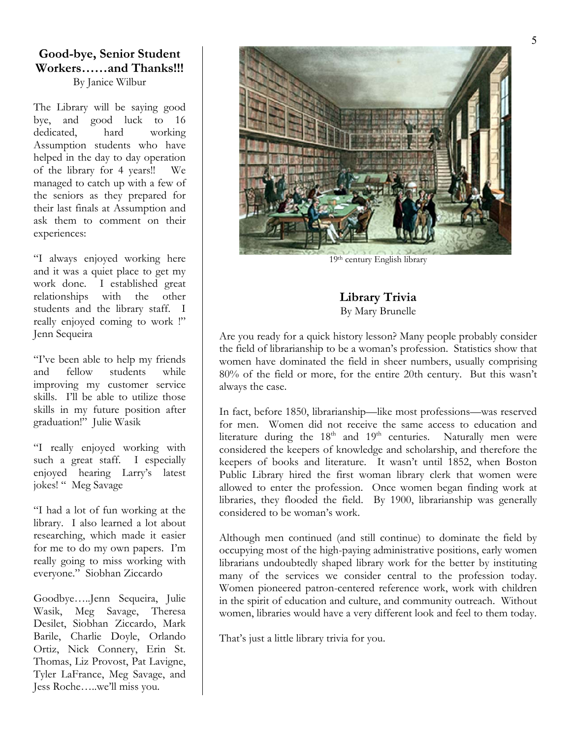# **Good-bye, Senior Student Workers……and Thanks!!!**

By Janice Wilbur

The Library will be saying good bye, and good luck to 16 dedicated, hard working Assumption students who have helped in the day to day operation of the library for 4 years!! We managed to catch up with a few of the seniors as they prepared for their last finals at Assumption and ask them to comment on their experiences:

"I always enjoyed working here and it was a quiet place to get my work done. I established great relationships with the other students and the library staff. I really enjoyed coming to work !" Jenn Sequeira

"I've been able to help my friends and fellow students while improving my customer service skills. I'll be able to utilize those skills in my future position after graduation!" Julie Wasik

"I really enjoyed working with such a great staff. I especially enjoyed hearing Larry's latest jokes! " Meg Savage

"I had a lot of fun working at the library. I also learned a lot about researching, which made it easier for me to do my own papers. I'm really going to miss working with everyone." Siobhan Ziccardo

Goodbye…..Jenn Sequeira, Julie Wasik, Meg Savage, Theresa Desilet, Siobhan Ziccardo, Mark Barile, Charlie Doyle, Orlando Ortiz, Nick Connery, Erin St. Thomas, Liz Provost, Pat Lavigne, Tyler LaFrance, Meg Savage, and Jess Roche…..we'll miss you.



19th century English library

**Library Trivia**  By Mary Brunelle

Are you ready for a quick history lesson? Many people probably consider the field of librarianship to be a woman's profession. Statistics show that women have dominated the field in sheer numbers, usually comprising 80% of the field or more, for the entire 20th century. But this wasn't always the case.

In fact, before 1850, librarianship—like most professions—was reserved for men. Women did not receive the same access to education and literature during the  $18<sup>th</sup>$  and  $19<sup>th</sup>$  centuries. Naturally men were considered the keepers of knowledge and scholarship, and therefore the keepers of books and literature. It wasn't until 1852, when Boston Public Library hired the first woman library clerk that women were allowed to enter the profession. Once women began finding work at libraries, they flooded the field. By 1900, librarianship was generally considered to be woman's work.

Although men continued (and still continue) to dominate the field by occupying most of the high-paying administrative positions, early women librarians undoubtedly shaped library work for the better by instituting many of the services we consider central to the profession today. Women pioneered patron-centered reference work, work with children in the spirit of education and culture, and community outreach. Without women, libraries would have a very different look and feel to them today.

That's just a little library trivia for you.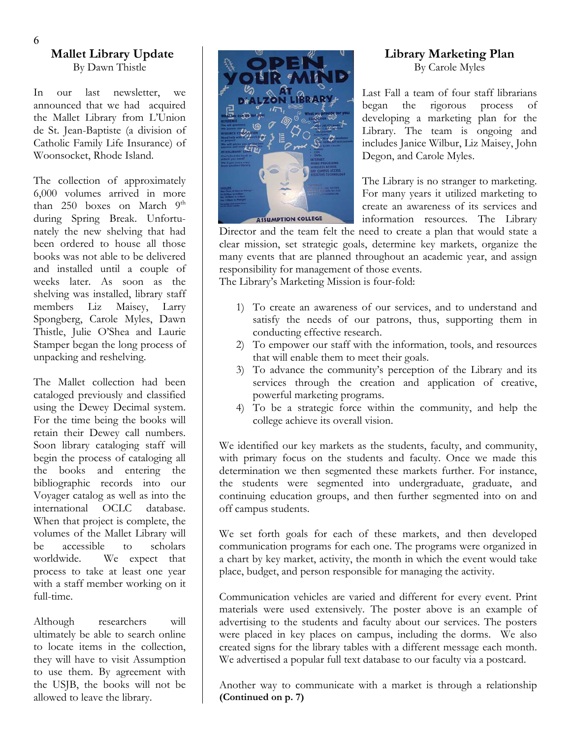#### **Mallet Library Update**  By Dawn Thistle

In our last newsletter, we announced that we had acquired the Mallet Library from L'Union de St. Jean-Baptiste (a division of Catholic Family Life Insurance) of Woonsocket, Rhode Island.

The collection of approximately 6,000 volumes arrived in more than  $250$  boxes on March  $9<sup>th</sup>$ during Spring Break. Unfortunately the new shelving that had been ordered to house all those books was not able to be delivered and installed until a couple of weeks later. As soon as the shelving was installed, library staff members Liz Maisey, Larry Spongberg, Carole Myles, Dawn Thistle, Julie O'Shea and Laurie Stamper began the long process of unpacking and reshelving.

The Mallet collection had been cataloged previously and classified using the Dewey Decimal system. For the time being the books will retain their Dewey call numbers. Soon library cataloging staff will begin the process of cataloging all the books and entering the bibliographic records into our Voyager catalog as well as into the international OCLC database. When that project is complete, the volumes of the Mallet Library will be accessible to scholars worldwide. We expect that process to take at least one year with a staff member working on it full-time.

Although researchers will ultimately be able to search online to locate items in the collection, they will have to visit Assumption to use them. By agreement with the USJB, the books will not be allowed to leave the library.



#### **Library Marketing Plan**  By Carole Myles

Last Fall a team of four staff librarians began the rigorous process of developing a marketing plan for the Library. The team is ongoing and includes Janice Wilbur, Liz Maisey, John Degon, and Carole Myles.

The Library is no stranger to marketing. For many years it utilized marketing to create an awareness of its services and information resources. The Library

Director and the team felt the need to create a plan that would state a clear mission, set strategic goals, determine key markets, organize the many events that are planned throughout an academic year, and assign responsibility for management of those events.

The Library's Marketing Mission is four-fold:

- 1) To create an awareness of our services, and to understand and satisfy the needs of our patrons, thus, supporting them in conducting effective research.
- 2) To empower our staff with the information, tools, and resources that will enable them to meet their goals.
- 3) To advance the community's perception of the Library and its services through the creation and application of creative, powerful marketing programs.
- 4) To be a strategic force within the community, and help the college achieve its overall vision.

We identified our key markets as the students, faculty, and community, with primary focus on the students and faculty. Once we made this determination we then segmented these markets further. For instance, the students were segmented into undergraduate, graduate, and continuing education groups, and then further segmented into on and off campus students.

We set forth goals for each of these markets, and then developed communication programs for each one. The programs were organized in a chart by key market, activity, the month in which the event would take place, budget, and person responsible for managing the activity.

Communication vehicles are varied and different for every event. Print materials were used extensively. The poster above is an example of advertising to the students and faculty about our services. The posters were placed in key places on campus, including the dorms. We also created signs for the library tables with a different message each month. We advertised a popular full text database to our faculty via a postcard.

Another way to communicate with a market is through a relationship **(Continued on p. 7)**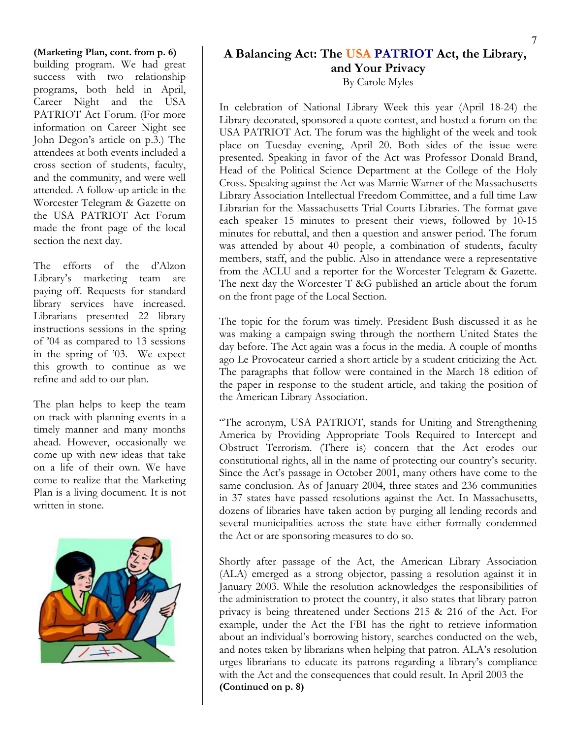**(Marketing Plan, cont. from p. 6)**  building program. We had great success with two relationship programs, both held in April, Career Night and the USA PATRIOT Act Forum. (For more information on Career Night see John Degon's article on p.3.) The attendees at both events included a cross section of students, faculty, and the community, and were well attended. A follow-up article in the Worcester Telegram & Gazette on the USA PATRIOT Act Forum made the front page of the local section the next day.

The efforts of the d'Alzon Library's marketing team are paying off. Requests for standard library services have increased. Librarians presented 22 library instructions sessions in the spring of '04 as compared to 13 sessions in the spring of '03. We expect this growth to continue as we refine and add to our plan.

The plan helps to keep the team on track with planning events in a timely manner and many months ahead. However, occasionally we come up with new ideas that take on a life of their own. We have come to realize that the Marketing Plan is a living document. It is not written in stone.



### **A Balancing Act: The USA PATRIOT Act, the Library, and Your Privacy**

By Carole Myles

In celebration of National Library Week this year (April 18-24) the Library decorated, sponsored a quote contest, and hosted a forum on the USA PATRIOT Act. The forum was the highlight of the week and took place on Tuesday evening, April 20. Both sides of the issue were presented. Speaking in favor of the Act was Professor Donald Brand, Head of the Political Science Department at the College of the Holy Cross. Speaking against the Act was Marnie Warner of the Massachusetts Library Association Intellectual Freedom Committee, and a full time Law Librarian for the Massachusetts Trial Courts Libraries. The format gave each speaker 15 minutes to present their views, followed by 10-15 minutes for rebuttal, and then a question and answer period. The forum was attended by about 40 people, a combination of students, faculty members, staff, and the public. Also in attendance were a representative from the ACLU and a reporter for the Worcester Telegram & Gazette. The next day the Worcester T &G published an article about the forum on the front page of the Local Section.

The topic for the forum was timely. President Bush discussed it as he was making a campaign swing through the northern United States the day before. The Act again was a focus in the media. A couple of months ago Le Provocateur carried a short article by a student criticizing the Act. The paragraphs that follow were contained in the March 18 edition of the paper in response to the student article, and taking the position of the American Library Association.

"The acronym, USA PATRIOT, stands for Uniting and Strengthening America by Providing Appropriate Tools Required to Intercept and Obstruct Terrorism. (There is) concern that the Act erodes our constitutional rights, all in the name of protecting our country's security. Since the Act's passage in October 2001, many others have come to the same conclusion. As of January 2004, three states and 236 communities in 37 states have passed resolutions against the Act. In Massachusetts, dozens of libraries have taken action by purging all lending records and several municipalities across the state have either formally condemned the Act or are sponsoring measures to do so.

Shortly after passage of the Act, the American Library Association (ALA) emerged as a strong objector, passing a resolution against it in January 2003. While the resolution acknowledges the responsibilities of the administration to protect the country, it also states that library patron privacy is being threatened under Sections 215 & 216 of the Act. For example, under the Act the FBI has the right to retrieve information about an individual's borrowing history, searches conducted on the web, and notes taken by librarians when helping that patron. ALA's resolution urges librarians to educate its patrons regarding a library's compliance with the Act and the consequences that could result. In April 2003 the **(Continued on p. 8)**